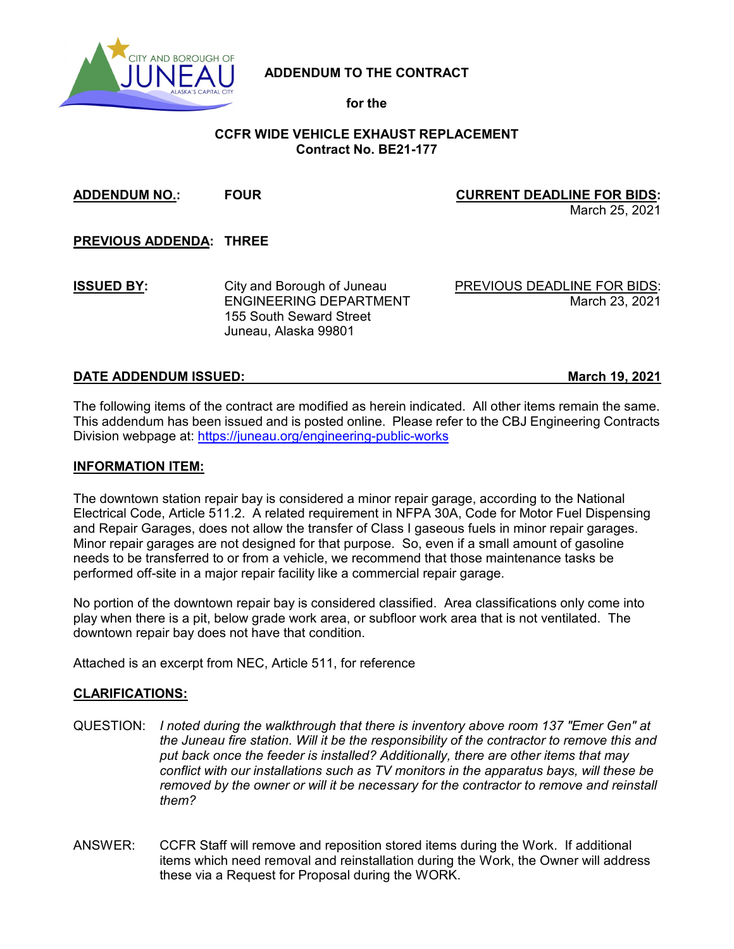

## **ADDENDUM TO THE CONTRACT**

**for the**

## **CCFR WIDE VEHICLE EXHAUST REPLACEMENT Contract No. BE21-177**

**ADDENDUM NO.: FOUR CURRENT DEADLINE FOR BIDS:** March 25, 2021 **PREVIOUS ADDENDA: THREE ISSUED BY:** City and Borough of Juneau PREVIOUS DEADLINE FOR BIDS: ENGINEERING DEPARTMENT March 23, 2021 155 South Seward Street Juneau, Alaska 99801

### **DATE ADDENDUM ISSUED: March 19, 2021**

The following items of the contract are modified as herein indicated. All other items remain the same. This addendum has been issued and is posted online. Please refer to the CBJ Engineering Contracts Division webpage at:<https://juneau.org/engineering-public-works>

#### **INFORMATION ITEM:**

The downtown station repair bay is considered a minor repair garage, according to the National Electrical Code, Article 511.2. A related requirement in NFPA 30A, Code for Motor Fuel Dispensing and Repair Garages, does not allow the transfer of Class I gaseous fuels in minor repair garages. Minor repair garages are not designed for that purpose. So, even if a small amount of gasoline needs to be transferred to or from a vehicle, we recommend that those maintenance tasks be performed off-site in a major repair facility like a commercial repair garage.

No portion of the downtown repair bay is considered classified. Area classifications only come into play when there is a pit, below grade work area, or subfloor work area that is not ventilated. The downtown repair bay does not have that condition.

Attached is an excerpt from NEC, Article 511, for reference

#### **CLARIFICATIONS:**

- QUESTION: *I noted during the walkthrough that there is inventory above room 137 "Emer Gen" at the Juneau fire station. Will it be the responsibility of the contractor to remove this and put back once the feeder is installed? Additionally, there are other items that may conflict with our installations such as TV monitors in the apparatus bays, will these be removed by the owner or will it be necessary for the contractor to remove and reinstall them?*
- ANSWER: CCFR Staff will remove and reposition stored items during the Work. If additional items which need removal and reinstallation during the Work, the Owner will address these via a Request for Proposal during the WORK.